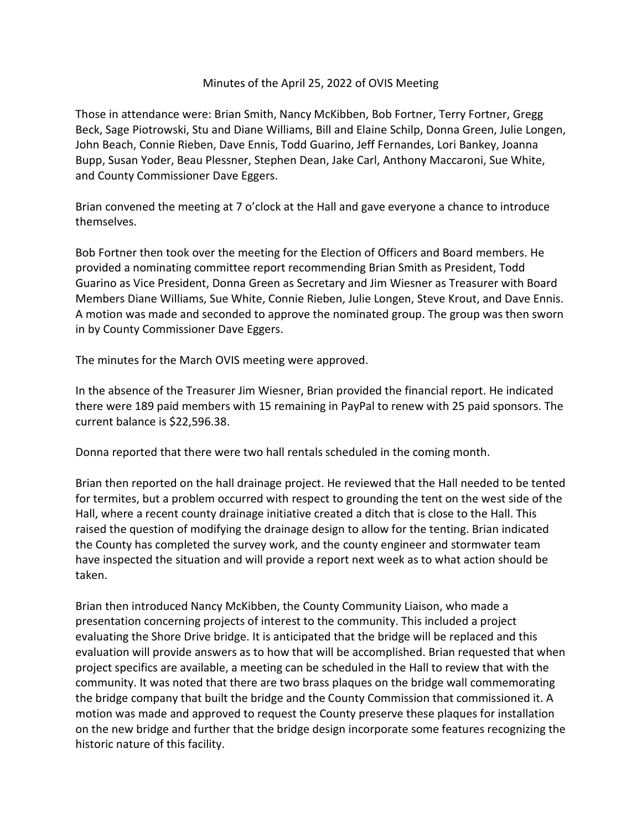## Minutes of the April 25, 2022 of OVIS Meeting

Those in attendance were: Brian Smith, Nancy McKibben, Bob Fortner, Terry Fortner, Gregg Beck, Sage Piotrowski, Stu and Diane Williams, Bill and Elaine Schilp, Donna Green, Julie Longen, John Beach, Connie Rieben, Dave Ennis, Todd Guarino, Jeff Fernandes, Lori Bankey, Joanna Bupp, Susan Yoder, Beau Plessner, Stephen Dean, Jake Carl, Anthony Maccaroni, Sue White, and County Commissioner Dave Eggers.

Brian convened the meeting at 7 o'clock at the Hall and gave everyone a chance to introduce themselves.

Bob Fortner then took over the meeting for the Election of Officers and Board members. He provided a nominating committee report recommending Brian Smith as President, Todd Guarino as Vice President, Donna Green as Secretary and Jim Wiesner as Treasurer with Board Members Diane Williams, Sue White, Connie Rieben, Julie Longen, Steve Krout, and Dave Ennis. A motion was made and seconded to approve the nominated group. The group was then sworn in by County Commissioner Dave Eggers.

The minutes for the March OVIS meeting were approved.

In the absence of the Treasurer Jim Wiesner, Brian provided the financial report. He indicated there were 189 paid members with 15 remaining in PayPal to renew with 25 paid sponsors. The current balance is \$22,596.38.

Donna reported that there were two hall rentals scheduled in the coming month.

Brian then reported on the hall drainage project. He reviewed that the Hall needed to be tented for termites, but a problem occurred with respect to grounding the tent on the west side of the Hall, where a recent county drainage initiative created a ditch that is close to the Hall. This raised the question of modifying the drainage design to allow for the tenting. Brian indicated the County has completed the survey work, and the county engineer and stormwater team have inspected the situation and will provide a report next week as to what action should be taken.

Brian then introduced Nancy McKibben, the County Community Liaison, who made a presentation concerning projects of interest to the community. This included a project evaluating the Shore Drive bridge. It is anticipated that the bridge will be replaced and this evaluation will provide answers as to how that will be accomplished. Brian requested that when project specifics are available, a meeting can be scheduled in the Hall to review that with the community. It was noted that there are two brass plaques on the bridge wall commemorating the bridge company that built the bridge and the County Commission that commissioned it. A motion was made and approved to request the County preserve these plaques for installation on the new bridge and further that the bridge design incorporate some features recognizing the historic nature of this facility.